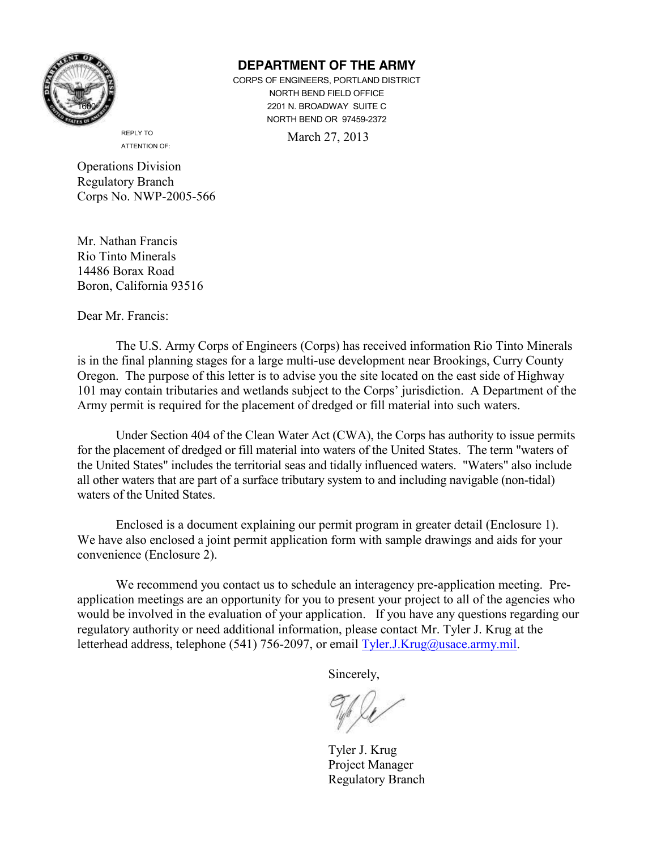

## **DEPARTMENT OF THE ARMY**

CORPS OF ENGINEERS, PORTLAND DISTRICT NORTH BEND FIELD OFFICE 2201 N. BROADWAY SUITE C NORTH BEND OR 97459-2372

March 27, 2013

 REPLY TO ATTENTION OF:

Operations Division Regulatory Branch Corps No. NWP-2005-566

Mr. Nathan Francis Rio Tinto Minerals 14486 Borax Road Boron, California 93516

Dear Mr. Francis:

The U.S. Army Corps of Engineers (Corps) has received information Rio Tinto Minerals is in the final planning stages for a large multi-use development near Brookings, Curry County Oregon. The purpose of this letter is to advise you the site located on the east side of Highway 101 may contain tributaries and wetlands subject to the Corps' jurisdiction. A Department of the Army permit is required for the placement of dredged or fill material into such waters.

Under Section 404 of the Clean Water Act (CWA), the Corps has authority to issue permits for the placement of dredged or fill material into waters of the United States. The term "waters of the United States" includes the territorial seas and tidally influenced waters. "Waters" also include all other waters that are part of a surface tributary system to and including navigable (non-tidal) waters of the United States.

 Enclosed is a document explaining our permit program in greater detail (Enclosure 1). We have also enclosed a joint permit application form with sample drawings and aids for your convenience (Enclosure 2).

 We recommend you contact us to schedule an interagency pre-application meeting. Preapplication meetings are an opportunity for you to present your project to all of the agencies who would be involved in the evaluation of your application. If you have any questions regarding our regulatory authority or need additional information, please contact Mr. Tyler J. Krug at the letterhead address, telephone (541) 756-2097, or email [Tyler.J.Krug@usace.army.mil.](mailto:Tyler.J.Krug@usace.army.mil)

Sincerely,

Tyler J. Krug Project Manager Regulatory Branch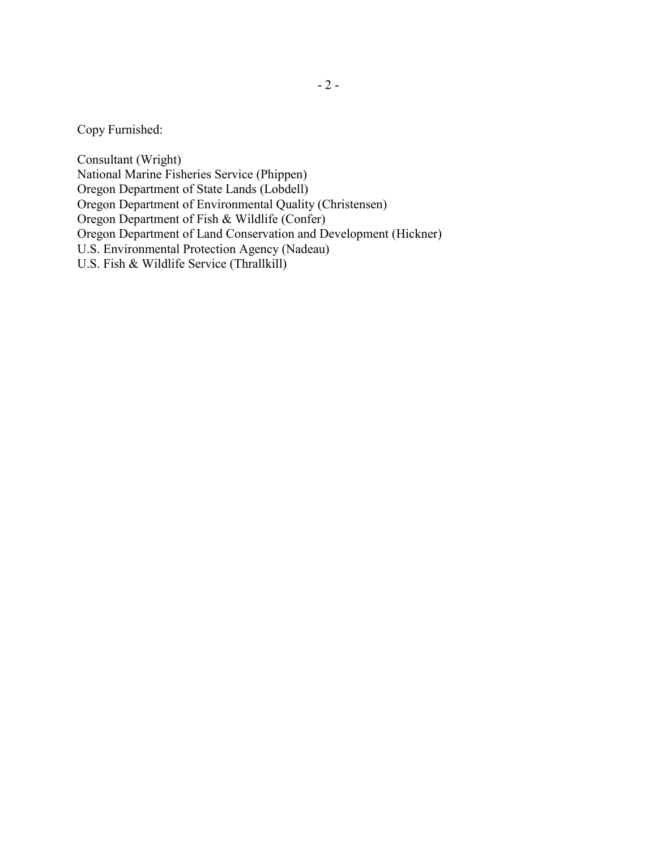Copy Furnished:

Consultant (Wright) National Marine Fisheries Service (Phippen) Oregon Department of State Lands (Lobdell) Oregon Department of Environmental Quality (Christensen) Oregon Department of Fish & Wildlife (Confer) Oregon Department of Land Conservation and Development (Hickner) U.S. Environmental Protection Agency (Nadeau) U.S. Fish & Wildlife Service (Thrallkill)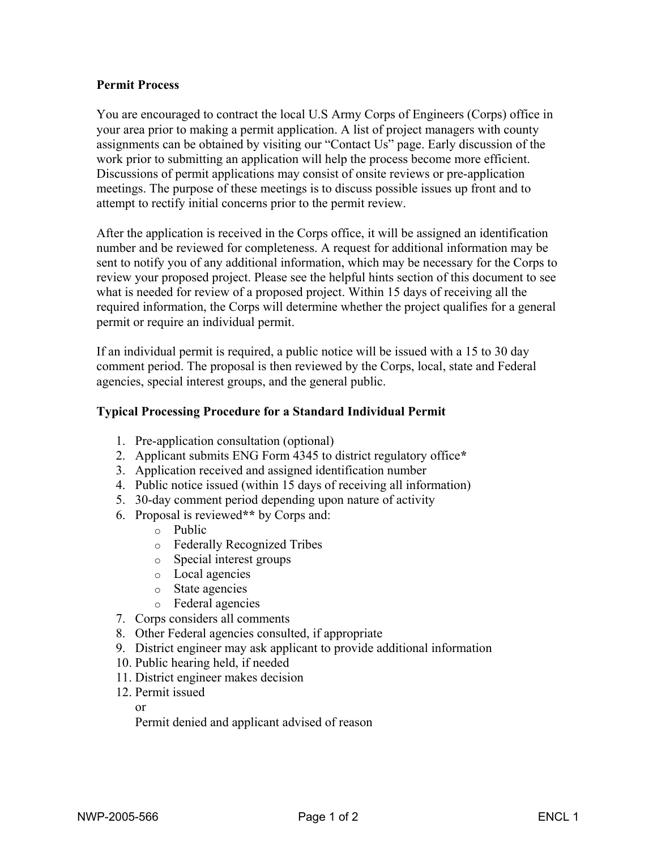### **Permit Process**

You are encouraged to contract the local U.S Army Corps of Engineers (Corps) office in your area prior to making a permit application. A list of project managers with county assignments can be obtained by visiting our "Contact Us" page. Early discussion of the work prior to submitting an application will help the process become more efficient. Discussions of permit applications may consist of onsite reviews or pre-application meetings. The purpose of these meetings is to discuss possible issues up front and to attempt to rectify initial concerns prior to the permit review.

After the application is received in the Corps office, it will be assigned an identification number and be reviewed for completeness. A request for additional information may be sent to notify you of any additional information, which may be necessary for the Corps to review your proposed project. Please see the helpful hints section of this document to see what is needed for review of a proposed project. Within 15 days of receiving all the required information, the Corps will determine whether the project qualifies for a general permit or require an individual permit.

If an individual permit is required, a public notice will be issued with a 15 to 30 day comment period. The proposal is then reviewed by the Corps, local, state and Federal agencies, special interest groups, and the general public.

### **Typical Processing Procedure for a Standard Individual Permit**

- 1. Pre-application consultation (optional)
- 2. Applicant submits ENG Form 4345 to district regulatory office**\***
- 3. Application received and assigned identification number
- 4. Public notice issued (within 15 days of receiving all information)
- 5. 30-day comment period depending upon nature of activity
- 6. Proposal is reviewed**\*\*** by Corps and:
	- o Public
	- o Federally Recognized Tribes
	- o Special interest groups
	- o Local agencies
	- o State agencies
	- o Federal agencies
- 7. Corps considers all comments
- 8. Other Federal agencies consulted, if appropriate
- 9. District engineer may ask applicant to provide additional information
- 10. Public hearing held, if needed
- 11. District engineer makes decision
- 12. Permit issued

or

Permit denied and applicant advised of reason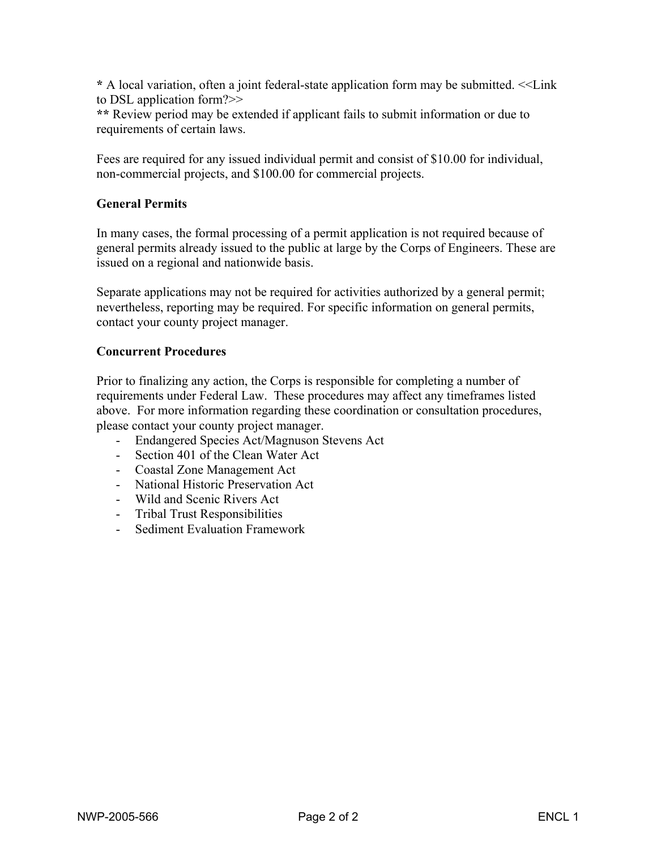**\*** A local variation, often a joint federal-state application form may be submitted. <<Link to DSL application form?>>

**\*\*** Review period may be extended if applicant fails to submit information or due to requirements of certain laws.

Fees are required for any issued individual permit and consist of \$10.00 for individual, non-commercial projects, and \$100.00 for commercial projects.

## **General Permits**

In many cases, the formal processing of a permit application is not required because of general permits already issued to the public at large by the Corps of Engineers. These are issued on a regional and nationwide basis.

Separate applications may not be required for activities authorized by a general permit; nevertheless, reporting may be required. For specific information on general permits, contact your county project manager.

#### **Concurrent Procedures**

Prior to finalizing any action, the Corps is responsible for completing a number of requirements under Federal Law. These procedures may affect any timeframes listed above. For more information regarding these coordination or consultation procedures, please contact your county project manager.

- Endangered Species Act/Magnuson Stevens Act
- Section 401 of the Clean Water Act
- Coastal Zone Management Act
- National Historic Preservation Act
- Wild and Scenic Rivers Act
- Tribal Trust Responsibilities
- Sediment Evaluation Framework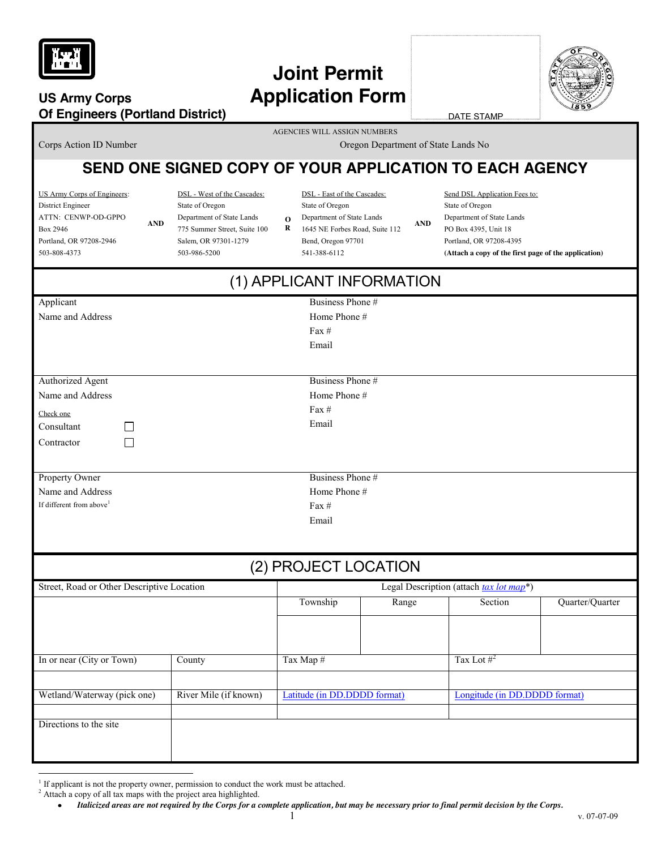

# **Joint Permit US Army Corps Application Form**

**Of Engineers (Portland District)**

**AND**

DATE STAMP

AGENCIES WILL ASSIGN NUMBERS

**Corps Action ID Number Corps Action ID Number Corps Action ID Number Corps Action ID Number Corps Action ID Number Corps Action ID Number Corps Action ID Number Corps Action ID Number Corps Action ID Number Corps Action I** 

**AND**

# **SEND ONE SIGNED COPY OF YOUR APPLICATION TO EACH AGENCY**

US Army Corps of Engineers: District Engineer ATTN: CENWP-OD-GPPO Box 2946 Portland, OR 97208-2946 503-808-4373

DSL - West of the Cascades: State of Oregon Department of State Lands 775 Summer Street, Suite 100 Salem, OR 97301-1279 503-986-5200

DSL - East of the Cascades:

**O**

- State of Oregon
- Department of State Lands
- **R**  1645 NE Forbes Road, Suite 112 Bend, Oregon 97701 541-388-6112

Send DSL Application Fees to: State of Oregon Department of State Lands PO Box 4395, Unit 18 Portland, OR 97208-4395 **(Attach a copy of the first page of the application)** 

| (1) APPLICANT INFORMATION                                                                 |                       |                                                      |                                                    |                               |  |  |  |
|-------------------------------------------------------------------------------------------|-----------------------|------------------------------------------------------|----------------------------------------------------|-------------------------------|--|--|--|
| Applicant<br>Name and Address                                                             |                       | Business Phone #<br>Home Phone #<br>Fax $#$<br>Email |                                                    |                               |  |  |  |
| <b>Authorized Agent</b><br>Name and Address<br>Check one<br>Consultant<br>Contractor<br>П |                       | Business Phone #<br>Home Phone #<br>Fax #<br>Email   |                                                    |                               |  |  |  |
| Property Owner<br>Name and Address<br>If different from above <sup>1</sup>                |                       | Business Phone #<br>Home Phone #<br>Fax $#$<br>Email |                                                    |                               |  |  |  |
|                                                                                           |                       | (2) PROJECT LOCATION                                 |                                                    |                               |  |  |  |
| Street, Road or Other Descriptive Location                                                | Township              | Range                                                | Legal Description (attach tax lot map*)<br>Section | Quarter/Quarter               |  |  |  |
| In or near (City or Town)                                                                 | County                | Tax Map #                                            |                                                    | Tax Lot $#^2$                 |  |  |  |
| Wetland/Waterway (pick one)<br>Directions to the site                                     | River Mile (if known) | Latitude (in DD.DDDD format)                         |                                                    | Longitude (in DD.DDDD format) |  |  |  |
|                                                                                           |                       |                                                      |                                                    |                               |  |  |  |

 $\overline{a}$ 

<sup>&</sup>lt;sup>1</sup> If applicant is not the property owner, permission to conduct the work must be attached.

<sup>&</sup>lt;sup>2</sup> Attach a copy of all tax maps with the project area highlighted.

*Italicized areas are not required by the Corps for a complete application, but may be necessary prior to final permit decision by the Corps.*   $\bullet$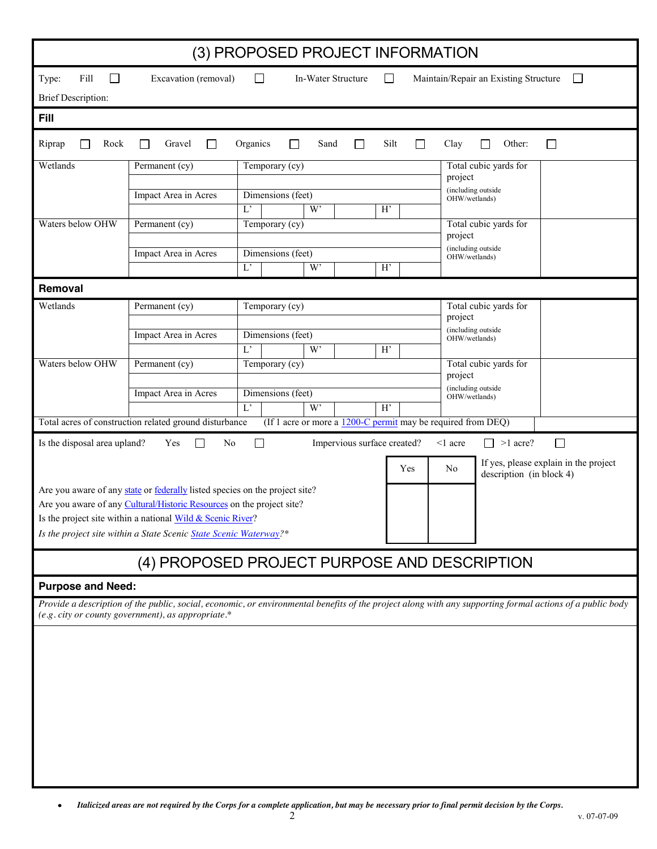| (3) PROPOSED PROJECT INFORMATION                     |                                                                                                                                                                                                                   |                         |                    |                             |         |                 |                                                                 |                                       |  |  |
|------------------------------------------------------|-------------------------------------------------------------------------------------------------------------------------------------------------------------------------------------------------------------------|-------------------------|--------------------|-----------------------------|---------|-----------------|-----------------------------------------------------------------|---------------------------------------|--|--|
| Fill<br>$\Box$<br>Type:<br><b>Brief Description:</b> | Excavation (removal)                                                                                                                                                                                              | $\Box$                  | In-Water Structure |                             | $\perp$ |                 | Maintain/Repair an Existing Structure                           | $\Box$                                |  |  |
| <b>Fill</b>                                          |                                                                                                                                                                                                                   |                         |                    |                             |         |                 |                                                                 |                                       |  |  |
| Rock<br>Riprap                                       | Gravel<br>П<br>ΙI                                                                                                                                                                                                 | Organics<br>□           | Sand               | П                           | Silt    | Clay<br>$\perp$ | Other:<br>$\perp$                                               | $\Box$                                |  |  |
| Wetlands                                             | Permanent (cy)                                                                                                                                                                                                    | Temporary (cy)          |                    |                             |         |                 | Total cubic yards for<br>project                                |                                       |  |  |
|                                                      | Impact Area in Acres                                                                                                                                                                                              | Dimensions (feet)<br>L' | W'                 |                             | H'      |                 | (including outside<br>OHW/wetlands)                             |                                       |  |  |
| Waters below OHW                                     | Permanent (cy)                                                                                                                                                                                                    | Temporary (cy)          |                    |                             |         |                 | Total cubic yards for<br>project                                |                                       |  |  |
|                                                      | Impact Area in Acres                                                                                                                                                                                              | Dimensions (feet)       |                    |                             |         |                 | (including outside<br>OHW/wetlands)                             |                                       |  |  |
|                                                      |                                                                                                                                                                                                                   | $\mathcal{L}^{\prime}$  | W'                 |                             | H'      |                 |                                                                 |                                       |  |  |
| Removal                                              |                                                                                                                                                                                                                   |                         |                    |                             |         |                 |                                                                 |                                       |  |  |
| Wetlands                                             | Permanent (cy)                                                                                                                                                                                                    | Temporary (cy)          |                    |                             |         | project         | Total cubic yards for                                           |                                       |  |  |
|                                                      | Impact Area in Acres                                                                                                                                                                                              | Dimensions (feet)       |                    |                             |         |                 | (including outside<br>OHW/wetlands)                             |                                       |  |  |
| Waters below OHW                                     |                                                                                                                                                                                                                   | $\overline{L'}$         | W'                 |                             | H'      |                 |                                                                 |                                       |  |  |
|                                                      | Permanent (cy)                                                                                                                                                                                                    | Temporary (cy)          |                    |                             |         |                 | Total cubic yards for<br>project                                |                                       |  |  |
| Impact Area in Acres                                 |                                                                                                                                                                                                                   | Dimensions (feet)       |                    |                             |         |                 | (including outside<br>OHW/wetlands)                             |                                       |  |  |
|                                                      | Total acres of construction related ground disturbance                                                                                                                                                            | L'                      | W'                 |                             | H'      |                 | (If 1 acre or more a $1200$ -C permit may be required from DEQ) |                                       |  |  |
| Is the disposal area upland?                         | Yes<br>N <sub>0</sub><br>$\mathsf{L}$                                                                                                                                                                             | ΙI                      |                    | Impervious surface created? |         | $\leq$ 1 acre   | $\Box$ >1 acre?                                                 | $\Box$                                |  |  |
|                                                      |                                                                                                                                                                                                                   |                         |                    |                             | Yes     | No              |                                                                 | If yes, please explain in the project |  |  |
|                                                      | Are you aware of any state or federally listed species on the project site?                                                                                                                                       |                         |                    |                             |         |                 | description (in block 4)                                        |                                       |  |  |
|                                                      | Are you aware of any Cultural/Historic Resources on the project site?                                                                                                                                             |                         |                    |                             |         |                 |                                                                 |                                       |  |  |
|                                                      | Is the project site within a national Wild & Scenic River?<br>Is the project site within a State Scenic State Scenic Waterway?*                                                                                   |                         |                    |                             |         |                 |                                                                 |                                       |  |  |
|                                                      |                                                                                                                                                                                                                   |                         |                    |                             |         |                 |                                                                 |                                       |  |  |
|                                                      | (4) PROPOSED PROJECT PURPOSE AND DESCRIPTION                                                                                                                                                                      |                         |                    |                             |         |                 |                                                                 |                                       |  |  |
| <b>Purpose and Need:</b>                             |                                                                                                                                                                                                                   |                         |                    |                             |         |                 |                                                                 |                                       |  |  |
|                                                      | Provide a description of the public, social, economic, or environmental benefits of the project along with any supporting formal actions of a public body<br>$(e.g. city or county government), as appropriate.*$ |                         |                    |                             |         |                 |                                                                 |                                       |  |  |
|                                                      |                                                                                                                                                                                                                   |                         |                    |                             |         |                 |                                                                 |                                       |  |  |
|                                                      |                                                                                                                                                                                                                   |                         |                    |                             |         |                 |                                                                 |                                       |  |  |
|                                                      |                                                                                                                                                                                                                   |                         |                    |                             |         |                 |                                                                 |                                       |  |  |
|                                                      |                                                                                                                                                                                                                   |                         |                    |                             |         |                 |                                                                 |                                       |  |  |
|                                                      |                                                                                                                                                                                                                   |                         |                    |                             |         |                 |                                                                 |                                       |  |  |
|                                                      |                                                                                                                                                                                                                   |                         |                    |                             |         |                 |                                                                 |                                       |  |  |
|                                                      |                                                                                                                                                                                                                   |                         |                    |                             |         |                 |                                                                 |                                       |  |  |

 $\bullet$ *Italicized areas are not required by the Corps for a complete application, but may be necessary prior to final permit decision by the Corps.*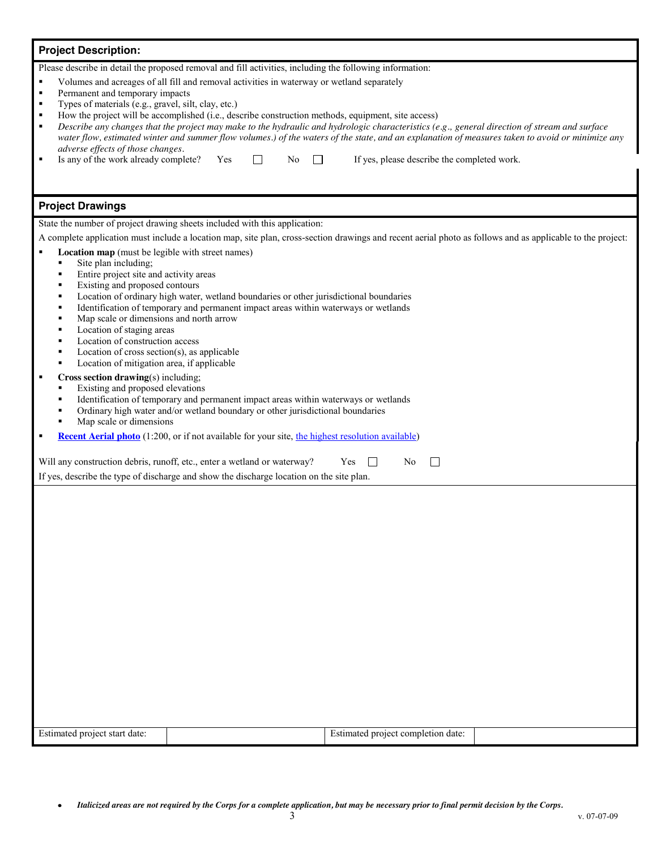# **Project Description:**  Please describe in detail the proposed removal and fill activities, including the following information: Volumes and acreages of all fill and removal activities in waterway or wetland separately Permanent and temporary impacts Types of materials (e.g., gravel, silt, clay, etc.) How the project will be accomplished (i.e., describe construction methods, equipment, site access) *Describe any changes that the project may make to the hydraulic and hydrologic characteristics (e.g., general direction of stream and surface water flow, estimated winter and summer flow volumes.) of the waters of the state, and an explanation of measures taken to avoid or minimize any adverse effects of those changes.*  Is any of the work already complete? Yes  $\Box$  No  $\Box$  If yes, please describe the completed work. **Project Drawings**  State the number of project drawing sheets included with this application: A complete application must include a location map, site plan, cross-section drawings and recent aerial photo as follows and as applicable to the project: **Location map** (must be legible with street names) Site plan including; Entire project site and activity areas Existing and proposed contours Location of ordinary high water, wetland boundaries or other jurisdictional boundaries Identification of temporary and permanent impact areas within waterways or wetlands Map scale or dimensions and north arrow Location of staging areas Location of construction access Location of cross section(s), as applicable Location of mitigation area, if applicable **Cross section drawing**(s) including; Existing and proposed elevations Identification of temporary and permanent impact areas within waterways or wetlands Ordinary high water and/or wetland boundary or other jurisdictional boundaries Map scale or dimensions **[Recent Aerial photo](http://earth.google.com/)** (1:200, or if not available for your site[, the highest resolution available\)](http://terraserver-usa.com/)  $\Box$ Will any construction debris, runoff, etc., enter a wetland or waterway?  $Yes \Box$  No If yes, describe the type of discharge and show the discharge location on the site plan.

| $\mathbf{r}$<br>date<br>Estimated<br>star<br>$\beta$ projec. | completion date:<br>project<br>stimated : |  |
|--------------------------------------------------------------|-------------------------------------------|--|
|                                                              |                                           |  |

*Italicized areas are not required by the Corps for a complete application, but may be necessary prior to final permit decision by the Corps.*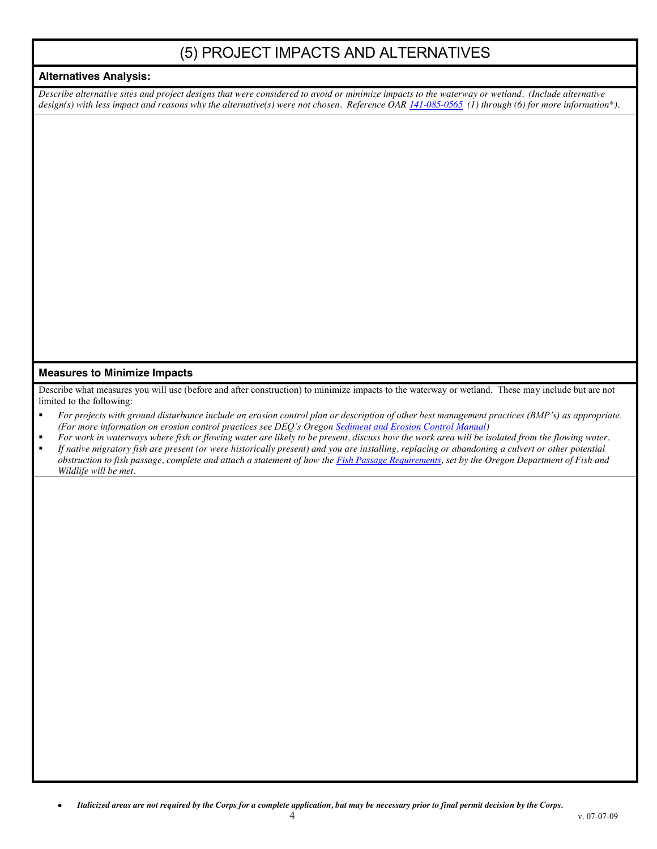# (5) PROJECT IMPACTS AND ALTERNATIVES

#### **Alternatives Analysis:**

*Describe alternative sites and project designs that were considered to avoid or minimize impacts to the waterway or wetland. (Include alternative design(s) with less impact and reasons why the alternative(s) were not chosen. Reference OA[R 141-085-0565](http://arcweb.sos.state.or.us/rules/OARS_100/OAR_141/141_085.html) (1) through (6) for more information\*).* 

#### **Measures to Minimize Impacts**

Describe what measures you will use (before and after construction) to minimize impacts to the waterway or wetland. These may include but are not limited to the following:

- *For projects with ground disturbance include an erosion control plan or description of other best management practices (BMP's) as appropriate. (For more information on erosion control practices see DEQ's Oregon [Sediment and Erosion Control Manual\)](http://www.deq.state.or.us/wq/stormwater/escmanual.htm)*
- *For work in waterways where fish or flowing water are likely to be present, discuss how the work area will be isolated from the flowing water. If native migratory fish are present (or were historically present) and you are installing, replacing or abandoning a culvert or other potential obstruction to fish passage, complete and attach a statement of how th[e Fish Passage Requirements,](http://www.dfw.state.or.us/fish/passage) set by the Oregon Department of Fish and Wildlife will be met.*

*Italicized areas are not required by the Corps for a complete application, but may be necessary prior to final permit decision by the Corps.*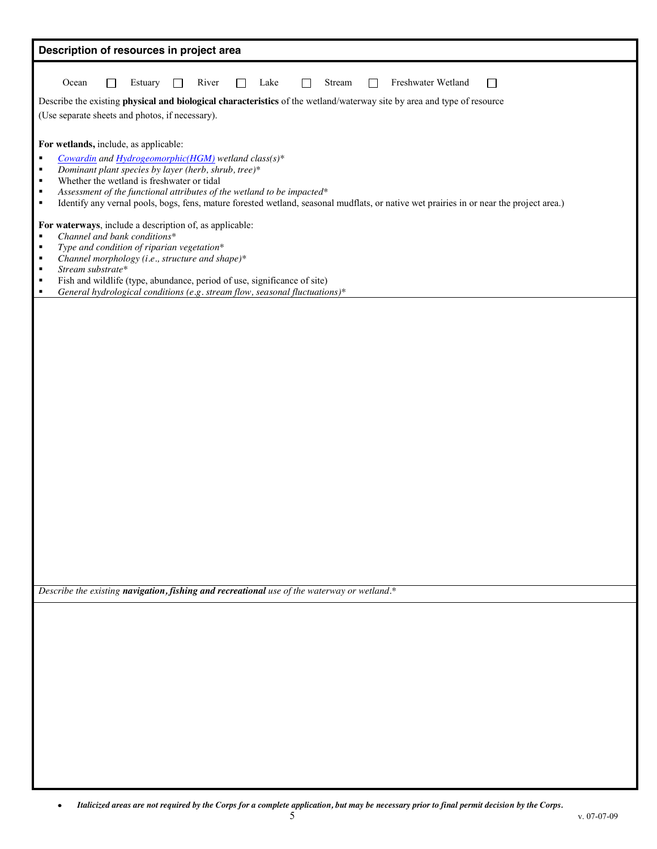| Description of resources in project area                                                                                                                                                                                                                                                                                                                                                                                                                                                                                                                                                                                                                                                                                                                                                                                                             |
|------------------------------------------------------------------------------------------------------------------------------------------------------------------------------------------------------------------------------------------------------------------------------------------------------------------------------------------------------------------------------------------------------------------------------------------------------------------------------------------------------------------------------------------------------------------------------------------------------------------------------------------------------------------------------------------------------------------------------------------------------------------------------------------------------------------------------------------------------|
| River<br>Freshwater Wetland<br>Ocean<br>Estuary<br>Lake<br>Stream<br>П<br>$\mathbf{I}$<br>$\Box$<br>Describe the existing physical and biological characteristics of the wetland/waterway site by area and type of resource<br>(Use separate sheets and photos, if necessary).                                                                                                                                                                                                                                                                                                                                                                                                                                                                                                                                                                       |
| For wetlands, include, as applicable:<br>Cowardin and Hydrogeomorphic(HGM) wetland class(s)*<br>٠<br>Dominant plant species by layer (herb, shrub, tree)*<br>$\blacksquare$<br>Whether the wetland is freshwater or tidal<br>٠<br>Assessment of the functional attributes of the wetland to be impacted*<br>$\blacksquare$<br>Identify any vernal pools, bogs, fens, mature forested wetland, seasonal mudflats, or native wet prairies in or near the project area.)<br>$\blacksquare$<br>For waterways, include a description of, as applicable:<br>Channel and bank conditions*<br>$\blacksquare$<br>Type and condition of riparian vegetation*<br>$\blacksquare$<br>Channel morphology (i.e., structure and shape)*<br>٠<br>Stream substrate*<br>٠<br>Fish and wildlife (type, abundance, period of use, significance of site)<br>$\blacksquare$ |
| General hydrological conditions (e.g. stream flow, seasonal fluctuations)*<br>$\blacksquare$                                                                                                                                                                                                                                                                                                                                                                                                                                                                                                                                                                                                                                                                                                                                                         |
|                                                                                                                                                                                                                                                                                                                                                                                                                                                                                                                                                                                                                                                                                                                                                                                                                                                      |
| Describe the existing navigation, fishing and recreational use of the waterway or wetland.*                                                                                                                                                                                                                                                                                                                                                                                                                                                                                                                                                                                                                                                                                                                                                          |
|                                                                                                                                                                                                                                                                                                                                                                                                                                                                                                                                                                                                                                                                                                                                                                                                                                                      |
|                                                                                                                                                                                                                                                                                                                                                                                                                                                                                                                                                                                                                                                                                                                                                                                                                                                      |
|                                                                                                                                                                                                                                                                                                                                                                                                                                                                                                                                                                                                                                                                                                                                                                                                                                                      |
|                                                                                                                                                                                                                                                                                                                                                                                                                                                                                                                                                                                                                                                                                                                                                                                                                                                      |
|                                                                                                                                                                                                                                                                                                                                                                                                                                                                                                                                                                                                                                                                                                                                                                                                                                                      |
|                                                                                                                                                                                                                                                                                                                                                                                                                                                                                                                                                                                                                                                                                                                                                                                                                                                      |
|                                                                                                                                                                                                                                                                                                                                                                                                                                                                                                                                                                                                                                                                                                                                                                                                                                                      |

 $\bullet$ *Italicized areas are not required by the Corps for a complete application, but may be necessary prior to final permit decision by the Corps.*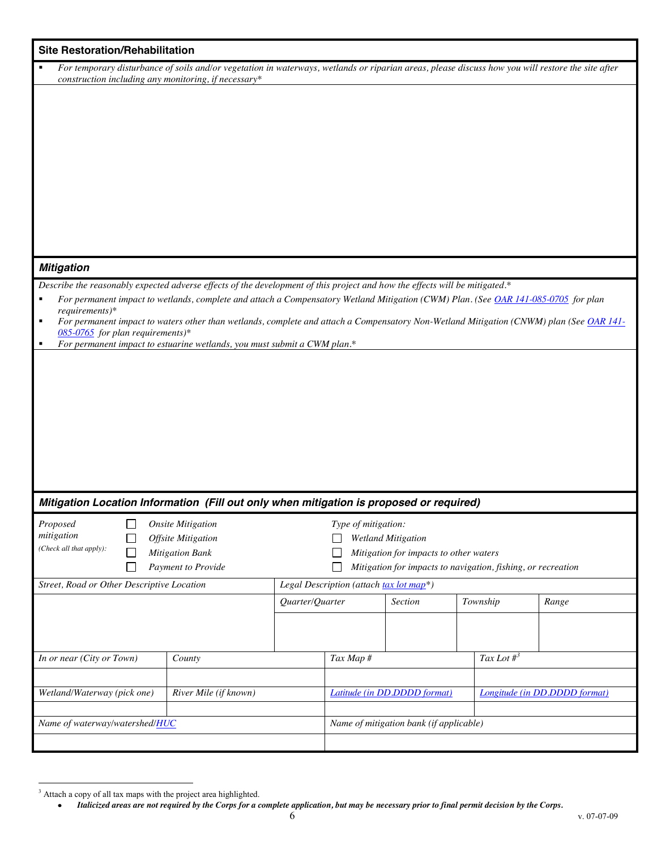| <b>Site Restoration/Rehabilitation</b>                                                                                      |                                                                                                                                                   |  |  |  |
|-----------------------------------------------------------------------------------------------------------------------------|---------------------------------------------------------------------------------------------------------------------------------------------------|--|--|--|
| п                                                                                                                           | For temporary disturbance of soils and/or vegetation in waterways, wetlands or riparian areas, please discuss how you will restore the site after |  |  |  |
| construction including any monitoring, if necessary*                                                                        |                                                                                                                                                   |  |  |  |
|                                                                                                                             |                                                                                                                                                   |  |  |  |
|                                                                                                                             |                                                                                                                                                   |  |  |  |
|                                                                                                                             |                                                                                                                                                   |  |  |  |
|                                                                                                                             |                                                                                                                                                   |  |  |  |
|                                                                                                                             |                                                                                                                                                   |  |  |  |
|                                                                                                                             |                                                                                                                                                   |  |  |  |
|                                                                                                                             |                                                                                                                                                   |  |  |  |
|                                                                                                                             |                                                                                                                                                   |  |  |  |
|                                                                                                                             |                                                                                                                                                   |  |  |  |
|                                                                                                                             |                                                                                                                                                   |  |  |  |
|                                                                                                                             |                                                                                                                                                   |  |  |  |
| <b>Mitigation</b>                                                                                                           |                                                                                                                                                   |  |  |  |
| Describe the reasonably expected adverse effects of the development of this project and how the effects will be mitigated.* |                                                                                                                                                   |  |  |  |
|                                                                                                                             | For permanent impact to wetlands, complete and attach a Compensatory Wetland Mitigation (CWM) Plan. (See OAR 141-085-0705 for plan                |  |  |  |
| requirements)*<br>٠                                                                                                         | For permanent impact to waters other than wetlands, complete and attach a Compensatory Non-Wetland Mitigation (CNWM) plan (See OAR 141-           |  |  |  |
| $085-0765$ for plan requirements)*                                                                                          |                                                                                                                                                   |  |  |  |
| For permanent impact to estuarine wetlands, you must submit a CWM plan.*<br>٠                                               |                                                                                                                                                   |  |  |  |
|                                                                                                                             |                                                                                                                                                   |  |  |  |
|                                                                                                                             |                                                                                                                                                   |  |  |  |
|                                                                                                                             |                                                                                                                                                   |  |  |  |
|                                                                                                                             |                                                                                                                                                   |  |  |  |
|                                                                                                                             |                                                                                                                                                   |  |  |  |
|                                                                                                                             |                                                                                                                                                   |  |  |  |
|                                                                                                                             |                                                                                                                                                   |  |  |  |
|                                                                                                                             |                                                                                                                                                   |  |  |  |
|                                                                                                                             |                                                                                                                                                   |  |  |  |
| Mitigation Location Information (Fill out only when mitigation is proposed or required)                                     |                                                                                                                                                   |  |  |  |
| Proposed<br><b>Onsite Mitigation</b>                                                                                        | Type of mitigation:                                                                                                                               |  |  |  |
| mitigation<br>Offsite Mitigation                                                                                            | <b>Wetland Mitigation</b>                                                                                                                         |  |  |  |
| (Check all that apply):<br><b>Mitigation Bank</b>                                                                           | Mitigation for impacts to other waters                                                                                                            |  |  |  |
| Payment to Provide<br>$\mathbf{L}$                                                                                          | Mitigation for impacts to navigation, fishing, or recreation                                                                                      |  |  |  |
| Street, Road or Other Descriptive Location                                                                                  | Legal Description (attach tax lot map*)                                                                                                           |  |  |  |
|                                                                                                                             | Quarter/Quarter<br><b>Section</b><br>Township<br>Range                                                                                            |  |  |  |
|                                                                                                                             |                                                                                                                                                   |  |  |  |
|                                                                                                                             |                                                                                                                                                   |  |  |  |
|                                                                                                                             |                                                                                                                                                   |  |  |  |
| In or near (City or Town)<br>County                                                                                         | Tax Lot $\#^3$<br>Tax Map #                                                                                                                       |  |  |  |
|                                                                                                                             |                                                                                                                                                   |  |  |  |
| Wetland/Waterway (pick one)<br>River Mile (if known)                                                                        | Latitude (in DD.DDDD format)<br><b>Longitude</b> (in DD.DDDD format)                                                                              |  |  |  |
|                                                                                                                             |                                                                                                                                                   |  |  |  |
| Name of waterway/watershed/HUC                                                                                              | Name of mitigation bank (if applicable)                                                                                                           |  |  |  |
|                                                                                                                             |                                                                                                                                                   |  |  |  |

<sup>&</sup>lt;sup>3</sup> Attach a copy of all tax maps with the project area highlighted.

*Italicized areas are not required by the Corps for a complete application, but may be necessary prior to final permit decision by the Corps.*   $\bullet$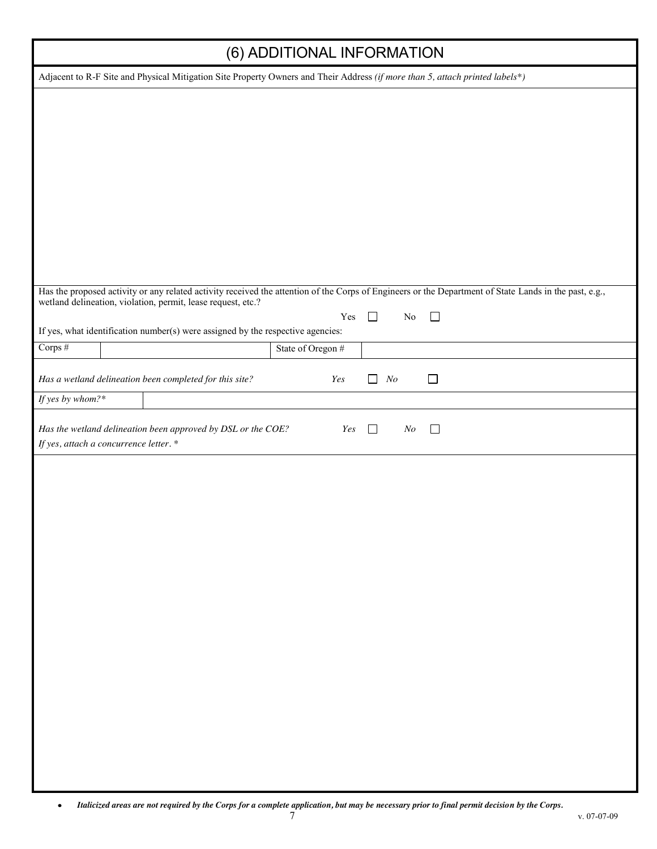I

| (0) ADDITIONAL INFORMATION                                                                                                                             |                   |     |                |          |          |        |  |
|--------------------------------------------------------------------------------------------------------------------------------------------------------|-------------------|-----|----------------|----------|----------|--------|--|
| Adjacent to R-F Site and Physical Mitigation Site Property Owners and Their Address (if more than 5, attach printed labels*)                           |                   |     |                |          |          |        |  |
|                                                                                                                                                        |                   |     |                |          |          |        |  |
|                                                                                                                                                        |                   |     |                |          |          |        |  |
|                                                                                                                                                        |                   |     |                |          |          |        |  |
|                                                                                                                                                        |                   |     |                |          |          |        |  |
|                                                                                                                                                        |                   |     |                |          |          |        |  |
|                                                                                                                                                        |                   |     |                |          |          |        |  |
|                                                                                                                                                        |                   |     |                |          |          |        |  |
|                                                                                                                                                        |                   |     |                |          |          |        |  |
|                                                                                                                                                        |                   |     |                |          |          |        |  |
|                                                                                                                                                        |                   |     |                |          |          |        |  |
|                                                                                                                                                        |                   |     |                |          |          |        |  |
|                                                                                                                                                        |                   |     |                |          |          |        |  |
| Has the proposed activity or any related activity received the attention of the Corps of Engineers or the Department of State Lands in the past, e.g., |                   |     |                |          |          |        |  |
| wetland delineation, violation, permit, lease request, etc.?                                                                                           |                   |     |                |          |          |        |  |
|                                                                                                                                                        |                   | Yes | П              |          | $\rm No$ | $\Box$ |  |
| If yes, what identification number(s) were assigned by the respective agencies:                                                                        |                   |     |                |          |          |        |  |
| Corps #                                                                                                                                                | State of Oregon # |     |                |          |          |        |  |
|                                                                                                                                                        |                   |     |                |          |          |        |  |
| Has a wetland delineation been completed for this site?                                                                                                |                   | Yes | $\blacksquare$ | $\it No$ |          | $\Box$ |  |
| If yes by whom?*                                                                                                                                       |                   |     |                |          |          |        |  |
|                                                                                                                                                        |                   |     |                |          |          |        |  |
| Has the wetland delineation been approved by DSL or the COE?                                                                                           |                   | Yes | $\Box$         |          | $\it No$ | $\Box$ |  |
| If yes, attach a concurrence letter.*                                                                                                                  |                   |     |                |          |          |        |  |
|                                                                                                                                                        |                   |     |                |          |          |        |  |
|                                                                                                                                                        |                   |     |                |          |          |        |  |
|                                                                                                                                                        |                   |     |                |          |          |        |  |
|                                                                                                                                                        |                   |     |                |          |          |        |  |
|                                                                                                                                                        |                   |     |                |          |          |        |  |
|                                                                                                                                                        |                   |     |                |          |          |        |  |
|                                                                                                                                                        |                   |     |                |          |          |        |  |
|                                                                                                                                                        |                   |     |                |          |          |        |  |
|                                                                                                                                                        |                   |     |                |          |          |        |  |
|                                                                                                                                                        |                   |     |                |          |          |        |  |
|                                                                                                                                                        |                   |     |                |          |          |        |  |
|                                                                                                                                                        |                   |     |                |          |          |        |  |
|                                                                                                                                                        |                   |     |                |          |          |        |  |
|                                                                                                                                                        |                   |     |                |          |          |        |  |
|                                                                                                                                                        |                   |     |                |          |          |        |  |
|                                                                                                                                                        |                   |     |                |          |          |        |  |
|                                                                                                                                                        |                   |     |                |          |          |        |  |
|                                                                                                                                                        |                   |     |                |          |          |        |  |
|                                                                                                                                                        |                   |     |                |          |          |        |  |
|                                                                                                                                                        |                   |     |                |          |          |        |  |
|                                                                                                                                                        |                   |     |                |          |          |        |  |
|                                                                                                                                                        |                   |     |                |          |          |        |  |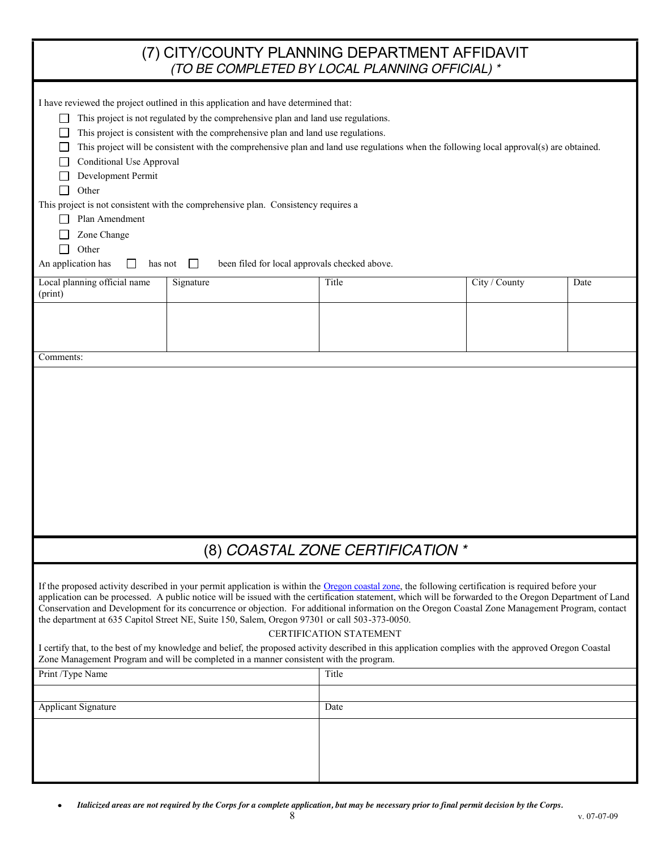|                                                                                                                                                                                                                                                                                                                                                                                                                                                                                                                                                                                                                                                                                                                                                                 | (7) CITY/COUNTY PLANNING DEPARTMENT AFFIDAVIT<br>(TO BE COMPLETED BY LOCAL PLANNING OFFICIAL) * |                                  |               |      |  |  |  |
|-----------------------------------------------------------------------------------------------------------------------------------------------------------------------------------------------------------------------------------------------------------------------------------------------------------------------------------------------------------------------------------------------------------------------------------------------------------------------------------------------------------------------------------------------------------------------------------------------------------------------------------------------------------------------------------------------------------------------------------------------------------------|-------------------------------------------------------------------------------------------------|----------------------------------|---------------|------|--|--|--|
| I have reviewed the project outlined in this application and have determined that:<br>This project is not regulated by the comprehensive plan and land use regulations.<br>This project is consistent with the comprehensive plan and land use regulations.<br>This project will be consistent with the comprehensive plan and land use regulations when the following local approval(s) are obtained.<br><b>Conditional Use Approval</b><br>Development Permit<br>Other<br>This project is not consistent with the comprehensive plan. Consistency requires a<br>Plan Amendment<br>Zone Change<br>Other<br>An application has<br>been filed for local approvals checked above.<br>has not<br>$\perp$<br>$\mathsf{L}$                                           |                                                                                                 |                                  |               |      |  |  |  |
| Local planning official name<br>(print)                                                                                                                                                                                                                                                                                                                                                                                                                                                                                                                                                                                                                                                                                                                         | Signature                                                                                       | Title                            | City / County | Date |  |  |  |
| Comments:                                                                                                                                                                                                                                                                                                                                                                                                                                                                                                                                                                                                                                                                                                                                                       |                                                                                                 |                                  |               |      |  |  |  |
|                                                                                                                                                                                                                                                                                                                                                                                                                                                                                                                                                                                                                                                                                                                                                                 |                                                                                                 |                                  |               |      |  |  |  |
|                                                                                                                                                                                                                                                                                                                                                                                                                                                                                                                                                                                                                                                                                                                                                                 |                                                                                                 | (8) COASTAL ZONE CERTIFICATION * |               |      |  |  |  |
| If the proposed activity described in your permit application is within the Oregon coastal zone, the following certification is required before your<br>application can be processed. A public notice will be issued with the certification statement, which will be forwarded to the Oregon Department of Land<br>Conservation and Development for its concurrence or objection. For additional information on the Oregon Coastal Zone Management Program, contact<br>the department at 635 Capitol Street NE, Suite 150, Salem, Oregon 97301 or call 503-373-0050.<br><b>CERTIFICATION STATEMENT</b><br>I certify that, to the best of my knowledge and belief, the proposed activity described in this application complies with the approved Oregon Coastal |                                                                                                 |                                  |               |      |  |  |  |
| Zone Management Program and will be completed in a manner consistent with the program.<br>Print /Type Name<br>Title                                                                                                                                                                                                                                                                                                                                                                                                                                                                                                                                                                                                                                             |                                                                                                 |                                  |               |      |  |  |  |
|                                                                                                                                                                                                                                                                                                                                                                                                                                                                                                                                                                                                                                                                                                                                                                 |                                                                                                 |                                  |               |      |  |  |  |
| Applicant Signature                                                                                                                                                                                                                                                                                                                                                                                                                                                                                                                                                                                                                                                                                                                                             |                                                                                                 | Date                             |               |      |  |  |  |
|                                                                                                                                                                                                                                                                                                                                                                                                                                                                                                                                                                                                                                                                                                                                                                 |                                                                                                 |                                  |               |      |  |  |  |

 $\bullet$ *Italicized areas are not required by the Corps for a complete application, but may be necessary prior to final permit decision by the Corps.*